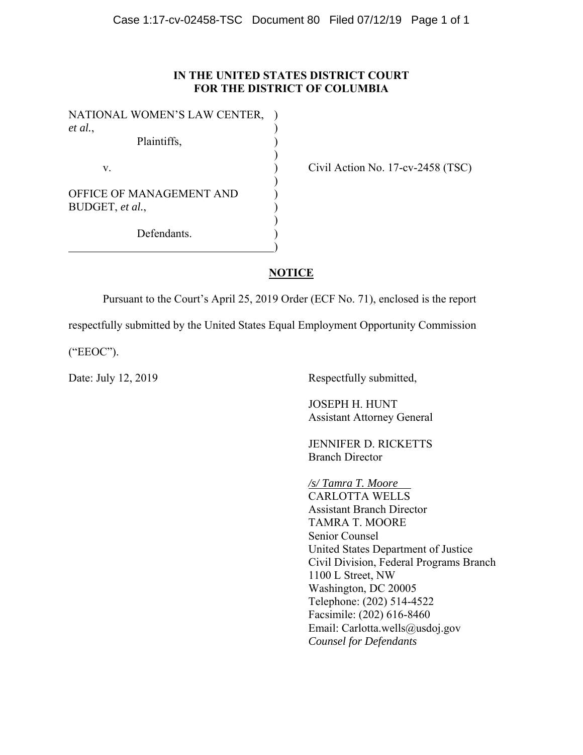### **IN THE UNITED STATES DISTRICT COURT FOR THE DISTRICT OF COLUMBIA**

| NATIONAL WOMEN'S LAW CENTER, |  |
|------------------------------|--|
| et al.,                      |  |
| Plaintiffs,                  |  |
|                              |  |
| V.                           |  |
|                              |  |
| OFFICE OF MANAGEMENT AND     |  |
| BUDGET, et al.,              |  |
|                              |  |
| Defendants.                  |  |
|                              |  |

Civil Action No. 17-cv-2458 (TSC)

# **NOTICE**

Pursuant to the Court's April 25, 2019 Order (ECF No. 71), enclosed is the report

respectfully submitted by the United States Equal Employment Opportunity Commission

("EEOC").

Date: July 12, 2019 Respectfully submitted,

 JOSEPH H. HUNT Assistant Attorney General

 JENNIFER D. RICKETTS Branch Director

*/s/ Tamra T. Moore*  CARLOTTA WELLS Assistant Branch Director TAMRA T. MOORE Senior Counsel United States Department of Justice Civil Division, Federal Programs Branch 1100 L Street, NW Washington, DC 20005 Telephone: (202) 514-4522 Facsimile: (202) 616-8460 Email: Carlotta.wells@usdoj.gov *Counsel for Defendants*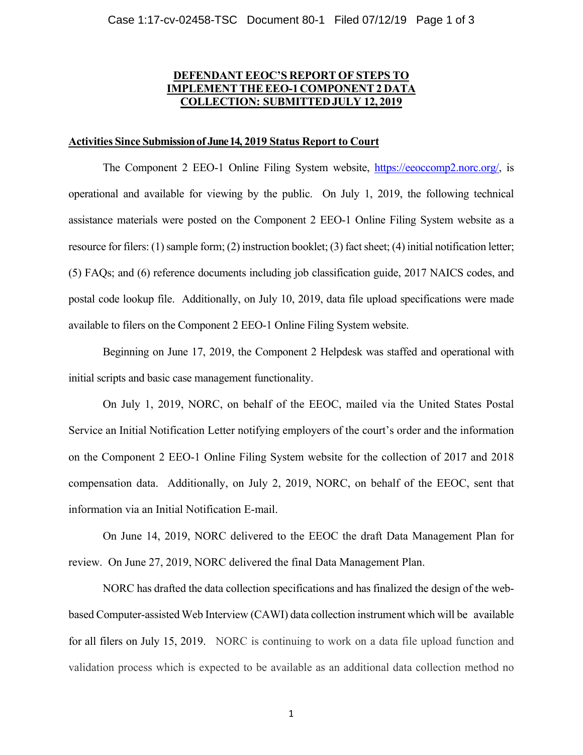## **DEFENDANT EEOC'S REPORT OF STEPS TO IMPLEMENT THE EEO-1 COMPONENT 2 DATA COLLECTION: SUBMITTED JULY 12, 2019**

### **Activities Since Submission of June 14, 2019 Status Report to Court**

 The Component 2 EEO-1 Online Filing System website, https://eeoccomp2.norc.org/, is operational and available for viewing by the public. On July 1, 2019, the following technical assistance materials were posted on the Component 2 EEO-1 Online Filing System website as a resource for filers: (1) sample form; (2) instruction booklet; (3) fact sheet; (4) initial notification letter; (5) FAQs; and (6) reference documents including job classification guide, 2017 NAICS codes, and postal code lookup file. Additionally, on July 10, 2019, data file upload specifications were made available to filers on the Component 2 EEO-1 Online Filing System website.

 Beginning on June 17, 2019, the Component 2 Helpdesk was staffed and operational with initial scripts and basic case management functionality.

On July 1, 2019, NORC, on behalf of the EEOC, mailed via the United States Postal Service an Initial Notification Letter notifying employers of the court's order and the information on the Component 2 EEO-1 Online Filing System website for the collection of 2017 and 2018 compensation data. Additionally, on July 2, 2019, NORC, on behalf of the EEOC, sent that information via an Initial Notification E-mail.

 On June 14, 2019, NORC delivered to the EEOC the draft Data Management Plan for review. On June 27, 2019, NORC delivered the final Data Management Plan.

NORC has drafted the data collection specifications and has finalized the design of the webbased Computer-assisted Web Interview (CAWI) data collection instrument which will be available for all filers on July 15, 2019. NORC is continuing to work on a data file upload function and validation process which is expected to be available as an additional data collection method no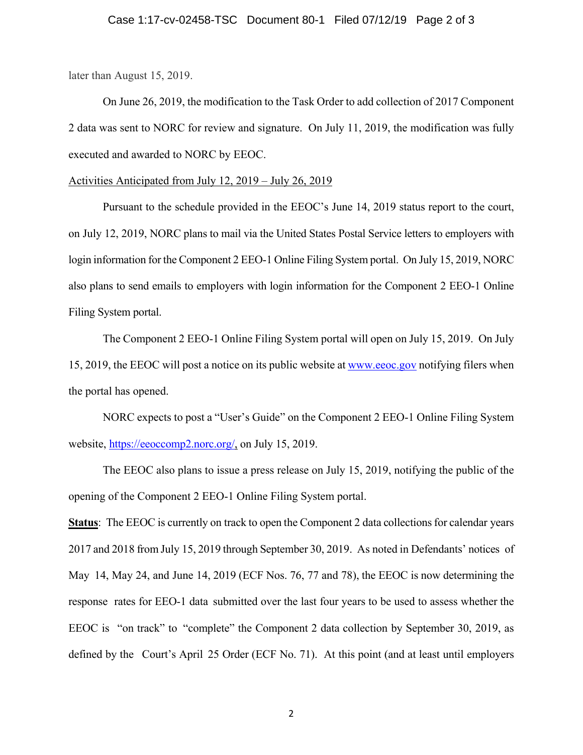### Case 1:17-cv-02458-TSC Document 80-1 Filed 07/12/19 Page 2 of 3

later than August 15, 2019.

On June 26, 2019, the modification to the Task Order to add collection of 2017 Component 2 data was sent to NORC for review and signature. On July 11, 2019, the modification was fully executed and awarded to NORC by EEOC.

#### Activities Anticipated from July 12, 2019 – July 26, 2019

Pursuant to the schedule provided in the EEOC's June 14, 2019 status report to the court, on July 12, 2019, NORC plans to mail via the United States Postal Service letters to employers with login information for the Component 2 EEO-1 Online Filing System portal. On July 15, 2019, NORC also plans to send emails to employers with login information for the Component 2 EEO-1 Online Filing System portal.

The Component 2 EEO-1 Online Filing System portal will open on July 15, 2019. On July 15, 2019, the EEOC will post a notice on its public website at www.eeoc.gov notifying filers when the portal has opened.

NORC expects to post a "User's Guide" on the Component 2 EEO-1 Online Filing System website, https://eeoccomp2.norc.org/, on July 15, 2019.

The EEOC also plans to issue a press release on July 15, 2019, notifying the public of the opening of the Component 2 EEO-1 Online Filing System portal.

**Status**: The EEOC is currently on track to open the Component 2 data collections for calendar years 2017 and 2018 from July 15, 2019 through September 30, 2019. As noted in Defendants' notices of May 14, May 24, and June 14, 2019 (ECF Nos. 76, 77 and 78), the EEOC is now determining the response rates for EEO-1 data submitted over the last four years to be used to assess whether the EEOC is "on track" to "complete" the Component 2 data collection by September 30, 2019, as defined by the Court's April 25 Order (ECF No. 71). At this point (and at least until employers